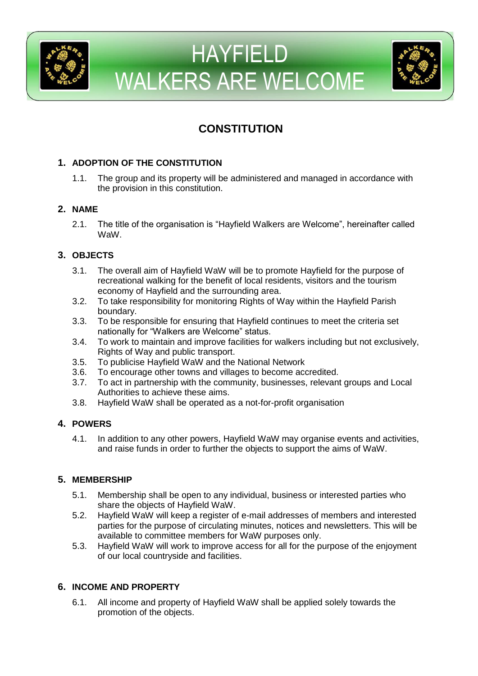



# **CONSTITUTION**

# **1. ADOPTION OF THE CONSTITUTION**

1.1. The group and its property will be administered and managed in accordance with the provision in this constitution.

## **2. NAME**

2.1. The title of the organisation is "Hayfield Walkers are Welcome", hereinafter called WaW.

# **3. OBJECTS**

- 3.1. The overall aim of Hayfield WaW will be to promote Hayfield for the purpose of recreational walking for the benefit of local residents, visitors and the tourism economy of Hayfield and the surrounding area.
- 3.2. To take responsibility for monitoring Rights of Way within the Hayfield Parish boundary.
- 3.3. To be responsible for ensuring that Hayfield continues to meet the criteria set nationally for "Walkers are Welcome" status.
- 3.4. To work to maintain and improve facilities for walkers including but not exclusively, Rights of Way and public transport.
- 3.5. To publicise Hayfield WaW and the National Network
- 3.6. To encourage other towns and villages to become accredited.
- 3.7. To act in partnership with the community, businesses, relevant groups and Local Authorities to achieve these aims.
- 3.8. Hayfield WaW shall be operated as a not-for-profit organisation

## **4. POWERS**

4.1. In addition to any other powers, Hayfield WaW may organise events and activities, and raise funds in order to further the objects to support the aims of WaW.

## **5. MEMBERSHIP**

- 5.1. Membership shall be open to any individual, business or interested parties who share the objects of Hayfield WaW.
- 5.2. Hayfield WaW will keep a register of e-mail addresses of members and interested parties for the purpose of circulating minutes, notices and newsletters. This will be available to committee members for WaW purposes only.
- 5.3. Hayfield WaW will work to improve access for all for the purpose of the enjoyment of our local countryside and facilities.

# **6. INCOME AND PROPERTY**

6.1. All income and property of Hayfield WaW shall be applied solely towards the promotion of the objects.